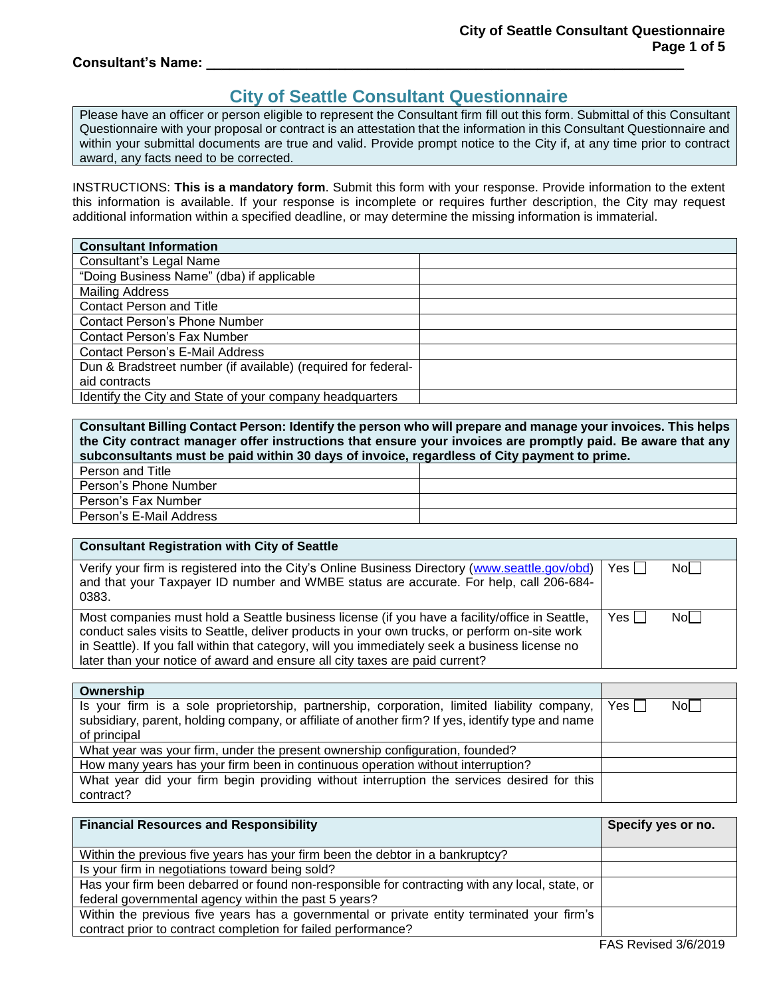#### **Consultant's Name: \_\_\_\_\_\_\_\_\_\_\_\_\_\_\_\_\_\_\_\_\_\_\_\_\_\_\_\_\_\_\_\_\_\_\_\_\_\_\_\_\_\_\_\_\_\_\_\_\_\_\_\_\_\_\_\_\_\_\_\_\_\_**

# **City of Seattle Consultant Questionnaire**

Please have an officer or person eligible to represent the Consultant firm fill out this form. Submittal of this Consultant Questionnaire with your proposal or contract is an attestation that the information in this Consultant Questionnaire and within your submittal documents are true and valid. Provide prompt notice to the City if, at any time prior to contract award, any facts need to be corrected.

INSTRUCTIONS: **This is a mandatory form**. Submit this form with your response. Provide information to the extent this information is available. If your response is incomplete or requires further description, the City may request additional information within a specified deadline, or may determine the missing information is immaterial.

| <b>Consultant Information</b>                                 |  |
|---------------------------------------------------------------|--|
| <b>Consultant's Legal Name</b>                                |  |
| "Doing Business Name" (dba) if applicable                     |  |
| <b>Mailing Address</b>                                        |  |
| <b>Contact Person and Title</b>                               |  |
| Contact Person's Phone Number                                 |  |
| <b>Contact Person's Fax Number</b>                            |  |
| <b>Contact Person's E-Mail Address</b>                        |  |
| Dun & Bradstreet number (if available) (required for federal- |  |
| aid contracts                                                 |  |
| Identify the City and State of your company headquarters      |  |

**Consultant Billing Contact Person: Identify the person who will prepare and manage your invoices. This helps the City contract manager offer instructions that ensure your invoices are promptly paid. Be aware that any subconsultants must be paid within 30 days of invoice, regardless of City payment to prime.**  Person and Title

| <b>FUSULAIN LING</b>    |  |
|-------------------------|--|
| Person's Phone Number   |  |
| Person's Fax Number     |  |
| Person's E-Mail Address |  |

| <b>Consultant Registration with City of Seattle</b>                                                                                                                                                                                                                                                                                                                              |       |     |
|----------------------------------------------------------------------------------------------------------------------------------------------------------------------------------------------------------------------------------------------------------------------------------------------------------------------------------------------------------------------------------|-------|-----|
| Verify your firm is registered into the City's Online Business Directory (www.seattle.gov/obd)<br>and that your Taxpayer ID number and WMBE status are accurate. For help, call 206-684-<br>0383.                                                                                                                                                                                | Yes I | Nol |
| Most companies must hold a Seattle business license (if you have a facility/office in Seattle,<br>conduct sales visits to Seattle, deliver products in your own trucks, or perform on-site work<br>in Seattle). If you fall within that category, will you immediately seek a business license no<br>later than your notice of award and ensure all city taxes are paid current? | Yes I | Nol |

| Ownership                                                                                         |                    |       |
|---------------------------------------------------------------------------------------------------|--------------------|-------|
| Is your firm is a sole proprietorship, partnership, corporation, limited liability company,       | Yes F <sub>1</sub> | Nol I |
| subsidiary, parent, holding company, or affiliate of another firm? If yes, identify type and name |                    |       |
| of principal                                                                                      |                    |       |
| What year was your firm, under the present ownership configuration, founded?                      |                    |       |
| How many years has your firm been in continuous operation without interruption?                   |                    |       |
| What year did your firm begin providing without interruption the services desired for this        |                    |       |
| contract?                                                                                         |                    |       |

| <b>Financial Resources and Responsibility</b>                                                  | Specify yes or no. |
|------------------------------------------------------------------------------------------------|--------------------|
|                                                                                                |                    |
| Within the previous five years has your firm been the debtor in a bankruptcy?                  |                    |
| Is your firm in negotiations toward being sold?                                                |                    |
| Has your firm been debarred or found non-responsible for contracting with any local, state, or |                    |
| federal governmental agency within the past 5 years?                                           |                    |
| Within the previous five years has a governmental or private entity terminated your firm's     |                    |
| contract prior to contract completion for failed performance?                                  |                    |
|                                                                                                |                    |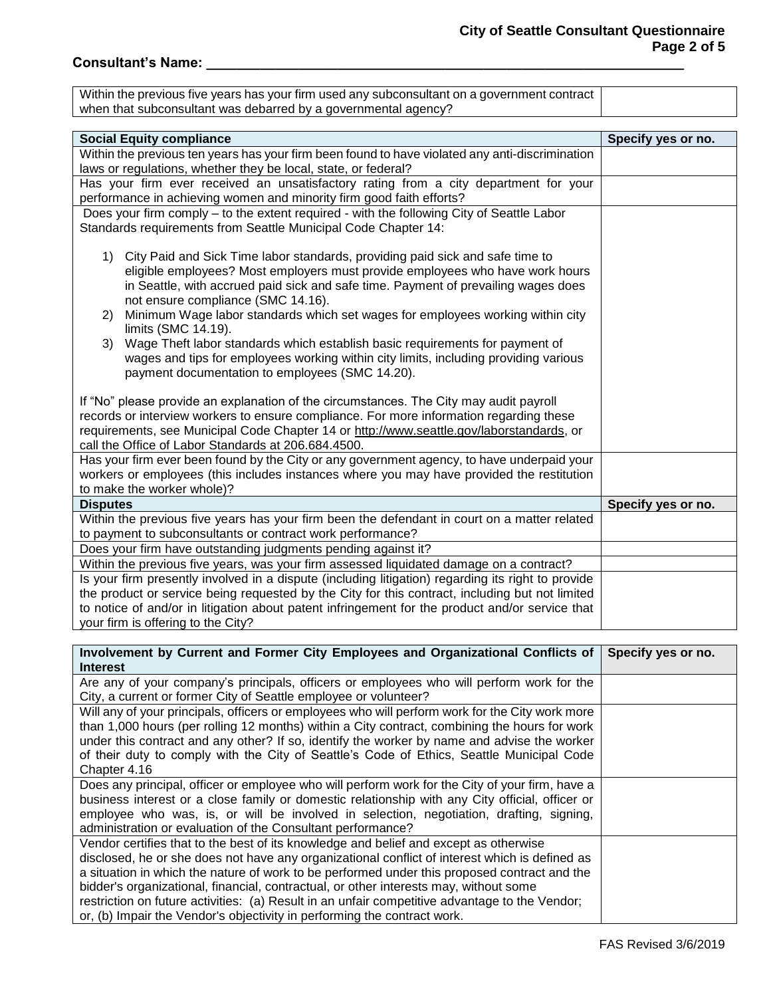## **Consultant's Name: \_\_\_\_\_\_\_\_\_\_\_\_\_\_\_\_\_\_\_\_\_\_\_\_\_\_\_\_\_\_\_\_\_\_\_\_\_\_\_\_\_\_\_\_\_\_\_\_\_\_\_\_\_\_\_\_\_\_\_\_\_\_**

| Within the previous five years has your firm used any subconsultant on a government contract I |  |
|------------------------------------------------------------------------------------------------|--|
| when that subconsultant was debarred by a governmental agency?                                 |  |

| <b>Social Equity compliance</b>                                                                                                                              | Specify yes or no. |  |
|--------------------------------------------------------------------------------------------------------------------------------------------------------------|--------------------|--|
| Within the previous ten years has your firm been found to have violated any anti-discrimination                                                              |                    |  |
| laws or regulations, whether they be local, state, or federal?                                                                                               |                    |  |
| Has your firm ever received an unsatisfactory rating from a city department for your<br>performance in achieving women and minority firm good faith efforts? |                    |  |
| Does your firm comply - to the extent required - with the following City of Seattle Labor                                                                    |                    |  |
| Standards requirements from Seattle Municipal Code Chapter 14:                                                                                               |                    |  |
|                                                                                                                                                              |                    |  |
| City Paid and Sick Time labor standards, providing paid sick and safe time to<br>1)                                                                          |                    |  |
| eligible employees? Most employers must provide employees who have work hours                                                                                |                    |  |
| in Seattle, with accrued paid sick and safe time. Payment of prevailing wages does<br>not ensure compliance (SMC 14.16).                                     |                    |  |
| Minimum Wage labor standards which set wages for employees working within city<br>(2)                                                                        |                    |  |
| limits (SMC 14.19).                                                                                                                                          |                    |  |
| Wage Theft labor standards which establish basic requirements for payment of<br>3)                                                                           |                    |  |
| wages and tips for employees working within city limits, including providing various                                                                         |                    |  |
| payment documentation to employees (SMC 14.20).                                                                                                              |                    |  |
|                                                                                                                                                              |                    |  |
| If "No" please provide an explanation of the circumstances. The City may audit payroll                                                                       |                    |  |
| records or interview workers to ensure compliance. For more information regarding these                                                                      |                    |  |
| requirements, see Municipal Code Chapter 14 or http://www.seattle.gov/laborstandards, or                                                                     |                    |  |
| call the Office of Labor Standards at 206.684.4500.                                                                                                          |                    |  |
| Has your firm ever been found by the City or any government agency, to have underpaid your                                                                   |                    |  |
| workers or employees (this includes instances where you may have provided the restitution<br>to make the worker whole)?                                      |                    |  |
| <b>Disputes</b>                                                                                                                                              | Specify yes or no. |  |
| Within the previous five years has your firm been the defendant in court on a matter related                                                                 |                    |  |
| to payment to subconsultants or contract work performance?                                                                                                   |                    |  |
| Does your firm have outstanding judgments pending against it?                                                                                                |                    |  |
| Within the previous five years, was your firm assessed liquidated damage on a contract?                                                                      |                    |  |
| Is your firm presently involved in a dispute (including litigation) regarding its right to provide                                                           |                    |  |
| the product or service being requested by the City for this contract, including but not limited                                                              |                    |  |
| to notice of and/or in litigation about patent infringement for the product and/or service that                                                              |                    |  |
| your firm is offering to the City?                                                                                                                           |                    |  |

| Involvement by Current and Former City Employees and Organizational Conflicts of                | Specify yes or no. |
|-------------------------------------------------------------------------------------------------|--------------------|
| <b>Interest</b>                                                                                 |                    |
| Are any of your company's principals, officers or employees who will perform work for the       |                    |
| City, a current or former City of Seattle employee or volunteer?                                |                    |
| Will any of your principals, officers or employees who will perform work for the City work more |                    |
| than 1,000 hours (per rolling 12 months) within a City contract, combining the hours for work   |                    |
| under this contract and any other? If so, identify the worker by name and advise the worker     |                    |
| of their duty to comply with the City of Seattle's Code of Ethics, Seattle Municipal Code       |                    |
| Chapter 4.16                                                                                    |                    |
| Does any principal, officer or employee who will perform work for the City of your firm, have a |                    |
| business interest or a close family or domestic relationship with any City official, officer or |                    |
| employee who was, is, or will be involved in selection, negotiation, drafting, signing,         |                    |
| administration or evaluation of the Consultant performance?                                     |                    |
| Vendor certifies that to the best of its knowledge and belief and except as otherwise           |                    |
| disclosed, he or she does not have any organizational conflict of interest which is defined as  |                    |
| a situation in which the nature of work to be performed under this proposed contract and the    |                    |
| bidder's organizational, financial, contractual, or other interests may, without some           |                    |
| restriction on future activities: (a) Result in an unfair competitive advantage to the Vendor;  |                    |
| or, (b) Impair the Vendor's objectivity in performing the contract work.                        |                    |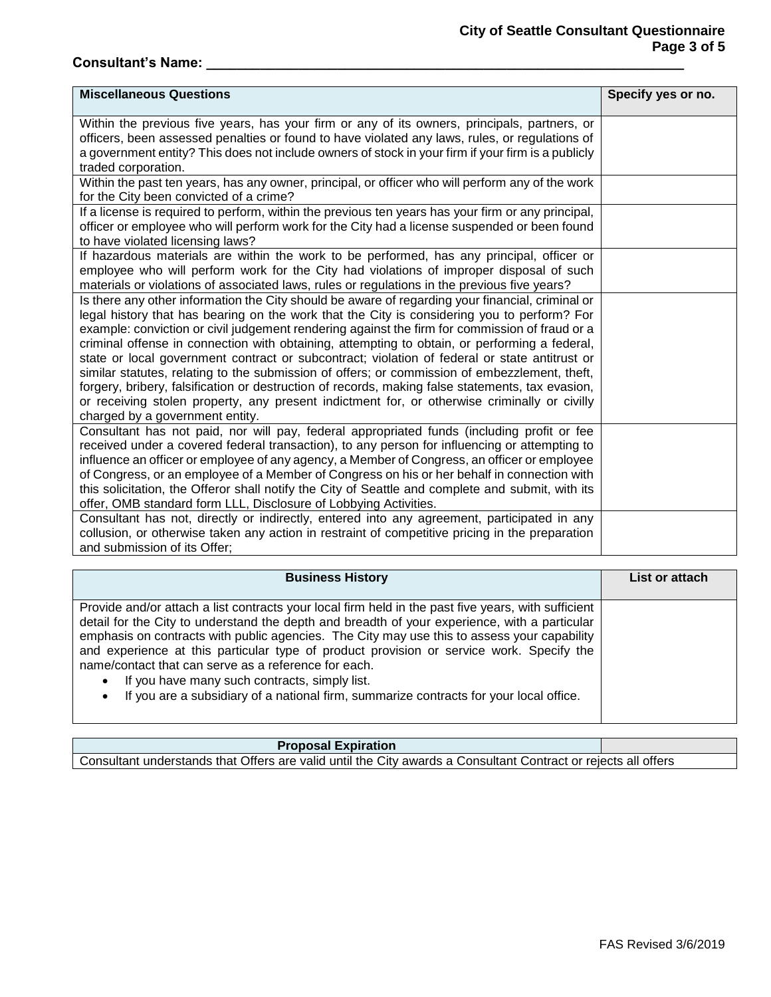## **City of Seattle Consultant Questionnaire Page 3 of 5**

## **Consultant's Name: \_\_\_\_\_\_\_\_\_\_\_\_\_\_\_\_\_\_\_\_\_\_\_\_\_\_\_\_\_\_\_\_\_\_\_\_\_\_\_\_\_\_\_\_\_\_\_\_\_\_\_\_\_\_\_\_\_\_\_\_\_\_**

| <b>Miscellaneous Questions</b>                                                                                                                                                                                                                                                                                                                                                                                                                                                                                                                                                                                                                                                                                                                                                                                                              | Specify yes or no. |
|---------------------------------------------------------------------------------------------------------------------------------------------------------------------------------------------------------------------------------------------------------------------------------------------------------------------------------------------------------------------------------------------------------------------------------------------------------------------------------------------------------------------------------------------------------------------------------------------------------------------------------------------------------------------------------------------------------------------------------------------------------------------------------------------------------------------------------------------|--------------------|
| Within the previous five years, has your firm or any of its owners, principals, partners, or<br>officers, been assessed penalties or found to have violated any laws, rules, or regulations of<br>a government entity? This does not include owners of stock in your firm if your firm is a publicly<br>traded corporation.                                                                                                                                                                                                                                                                                                                                                                                                                                                                                                                 |                    |
| Within the past ten years, has any owner, principal, or officer who will perform any of the work<br>for the City been convicted of a crime?                                                                                                                                                                                                                                                                                                                                                                                                                                                                                                                                                                                                                                                                                                 |                    |
| If a license is required to perform, within the previous ten years has your firm or any principal,<br>officer or employee who will perform work for the City had a license suspended or been found<br>to have violated licensing laws?                                                                                                                                                                                                                                                                                                                                                                                                                                                                                                                                                                                                      |                    |
| If hazardous materials are within the work to be performed, has any principal, officer or<br>employee who will perform work for the City had violations of improper disposal of such<br>materials or violations of associated laws, rules or regulations in the previous five years?                                                                                                                                                                                                                                                                                                                                                                                                                                                                                                                                                        |                    |
| Is there any other information the City should be aware of regarding your financial, criminal or<br>legal history that has bearing on the work that the City is considering you to perform? For<br>example: conviction or civil judgement rendering against the firm for commission of fraud or a<br>criminal offense in connection with obtaining, attempting to obtain, or performing a federal,<br>state or local government contract or subcontract; violation of federal or state antitrust or<br>similar statutes, relating to the submission of offers; or commission of embezzlement, theft,<br>forgery, bribery, falsification or destruction of records, making false statements, tax evasion,<br>or receiving stolen property, any present indictment for, or otherwise criminally or civilly<br>charged by a government entity. |                    |
| Consultant has not paid, nor will pay, federal appropriated funds (including profit or fee<br>received under a covered federal transaction), to any person for influencing or attempting to<br>influence an officer or employee of any agency, a Member of Congress, an officer or employee<br>of Congress, or an employee of a Member of Congress on his or her behalf in connection with<br>this solicitation, the Offeror shall notify the City of Seattle and complete and submit, with its<br>offer, OMB standard form LLL, Disclosure of Lobbying Activities.                                                                                                                                                                                                                                                                         |                    |
| Consultant has not, directly or indirectly, entered into any agreement, participated in any<br>collusion, or otherwise taken any action in restraint of competitive pricing in the preparation<br>and submission of its Offer;                                                                                                                                                                                                                                                                                                                                                                                                                                                                                                                                                                                                              |                    |

| <b>Business History</b>                                                                                                                                                                                                                                                                                                                                                                                                                                                                                                                                                                                                      | List or attach |
|------------------------------------------------------------------------------------------------------------------------------------------------------------------------------------------------------------------------------------------------------------------------------------------------------------------------------------------------------------------------------------------------------------------------------------------------------------------------------------------------------------------------------------------------------------------------------------------------------------------------------|----------------|
| Provide and/or attach a list contracts your local firm held in the past five years, with sufficient<br>detail for the City to understand the depth and breadth of your experience, with a particular<br>emphasis on contracts with public agencies. The City may use this to assess your capability<br>and experience at this particular type of product provision or service work. Specify the<br>name/contact that can serve as a reference for each.<br>If you have many such contracts, simply list.<br>$\bullet$<br>If you are a subsidiary of a national firm, summarize contracts for your local office.<br>$\bullet$ |                |

#### **Proposal Expiration**

Consultant understands that Offers are valid until the City awards a Consultant Contract or rejects all offers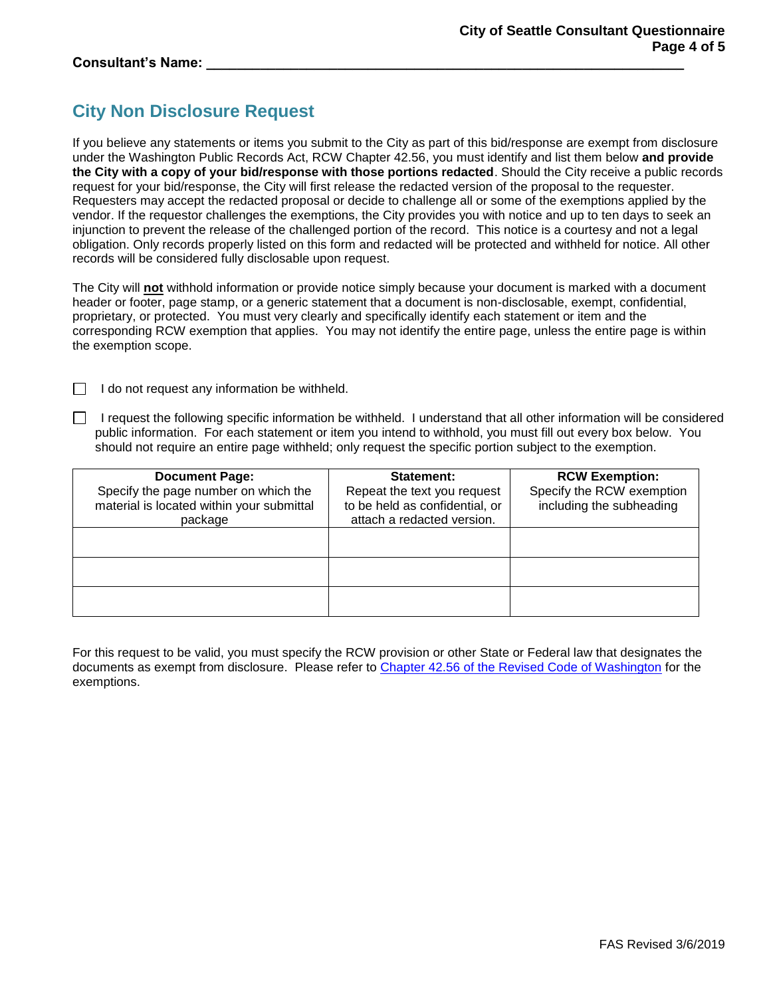#### **Consultant's Name: \_\_\_\_\_\_\_\_\_\_\_\_\_\_\_\_\_\_\_\_\_\_\_\_\_\_\_\_\_\_\_\_\_\_\_\_\_\_\_\_\_\_\_\_\_\_\_\_\_\_\_\_\_\_\_\_\_\_\_\_\_\_**

## **City Non Disclosure Request**

If you believe any statements or items you submit to the City as part of this bid/response are exempt from disclosure under the Washington Public Records Act, RCW Chapter 42.56, you must identify and list them below **and provide the City with a copy of your bid/response with those portions redacted**. Should the City receive a public records request for your bid/response, the City will first release the redacted version of the proposal to the requester. Requesters may accept the redacted proposal or decide to challenge all or some of the exemptions applied by the vendor. If the requestor challenges the exemptions, the City provides you with notice and up to ten days to seek an injunction to prevent the release of the challenged portion of the record. This notice is a courtesy and not a legal obligation. Only records properly listed on this form and redacted will be protected and withheld for notice. All other records will be considered fully disclosable upon request.

The City will **not** withhold information or provide notice simply because your document is marked with a document header or footer, page stamp, or a generic statement that a document is non-disclosable, exempt, confidential, proprietary, or protected. You must very clearly and specifically identify each statement or item and the corresponding RCW exemption that applies. You may not identify the entire page, unless the entire page is within the exemption scope.

 $\Box$  I do not request any information be withheld.

 $\Box$  I request the following specific information be withheld. I understand that all other information will be considered public information. For each statement or item you intend to withhold, you must fill out every box below. You should not require an entire page withheld; only request the specific portion subject to the exemption.

| <b>Document Page:</b><br>Specify the page number on which the<br>material is located within your submittal<br>package | Statement:<br>Repeat the text you request<br>to be held as confidential, or<br>attach a redacted version. | <b>RCW Exemption:</b><br>Specify the RCW exemption<br>including the subheading |
|-----------------------------------------------------------------------------------------------------------------------|-----------------------------------------------------------------------------------------------------------|--------------------------------------------------------------------------------|
|                                                                                                                       |                                                                                                           |                                                                                |
|                                                                                                                       |                                                                                                           |                                                                                |
|                                                                                                                       |                                                                                                           |                                                                                |

For this request to be valid, you must specify the RCW provision or other State or Federal law that designates the documents as exempt from disclosure. Please refer to [Chapter 42.56 of the Revised Code of Washington](http://apps.leg.wa.gov/rcw/default.aspx?cite=42.56&full=true) for the exemptions.